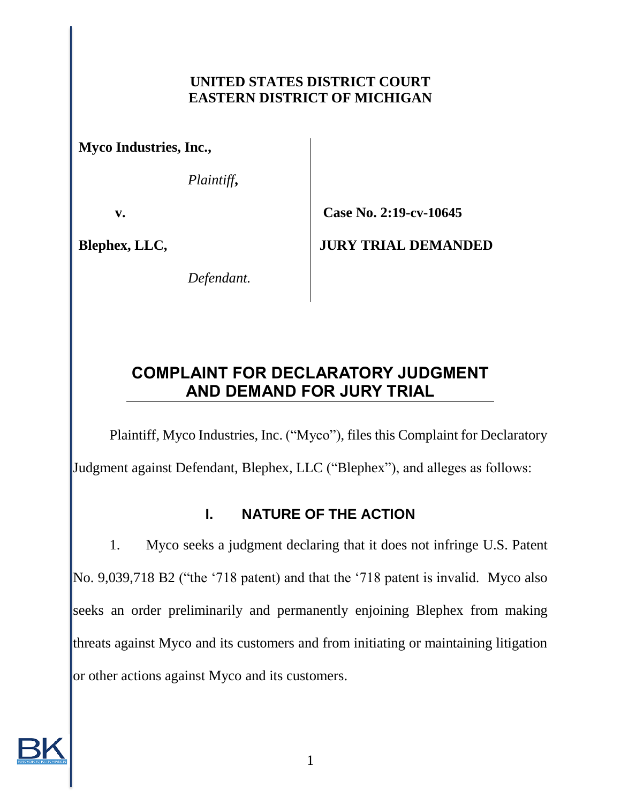#### **UNITED STATES DISTRICT COURT EASTERN DISTRICT OF MICHIGAN**

**Myco Industries, Inc.,**

*Plaintiff***,** 

**v.**

 **Case No. 2:19-cv-10645**

**Blephex, LLC,**

*Defendant.*

**JURY TRIAL DEMANDED**

# **COMPLAINT FOR DECLARATORY JUDGMENT AND DEMAND FOR JURY TRIAL**

Plaintiff, Myco Industries, Inc. ("Myco"), files this Complaint for Declaratory Judgment against Defendant, Blephex, LLC ("Blephex"), and alleges as follows:

#### **I. NATURE OF THE ACTION**

1. Myco seeks a judgment declaring that it does not infringe U.S. Patent No. 9,039,718 B2 ("the '718 patent) and that the '718 patent is invalid. Myco also seeks an order preliminarily and permanently enjoining Blephex from making threats against Myco and its customers and from initiating or maintaining litigation or other actions against Myco and its customers.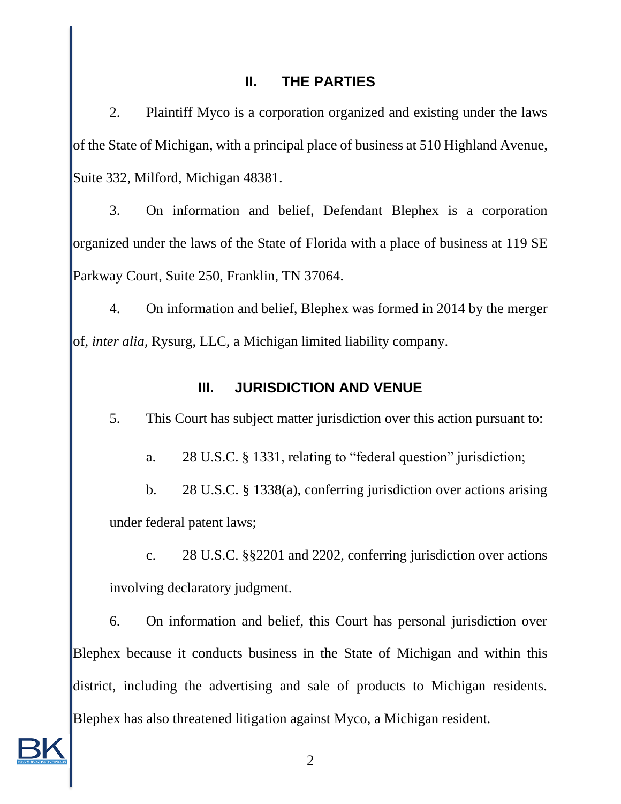#### **II. THE PARTIES**

2. Plaintiff Myco is a corporation organized and existing under the laws of the State of Michigan, with a principal place of business at 510 Highland Avenue, Suite 332, Milford, Michigan 48381.

3. On information and belief, Defendant Blephex is a corporation organized under the laws of the State of Florida with a place of business at 119 SE Parkway Court, Suite 250, Franklin, TN 37064.

4. On information and belief, Blephex was formed in 2014 by the merger of, *inter alia*, Rysurg, LLC, a Michigan limited liability company.

#### **III. JURISDICTION AND VENUE**

5. This Court has subject matter jurisdiction over this action pursuant to:

a. 28 U.S.C. § 1331, relating to "federal question" jurisdiction;

b. 28 U.S.C. § 1338(a), conferring jurisdiction over actions arising under federal patent laws;

c. 28 U.S.C. §§2201 and 2202, conferring jurisdiction over actions involving declaratory judgment.

6. On information and belief, this Court has personal jurisdiction over Blephex because it conducts business in the State of Michigan and within this district, including the advertising and sale of products to Michigan residents. Blephex has also threatened litigation against Myco, a Michigan resident.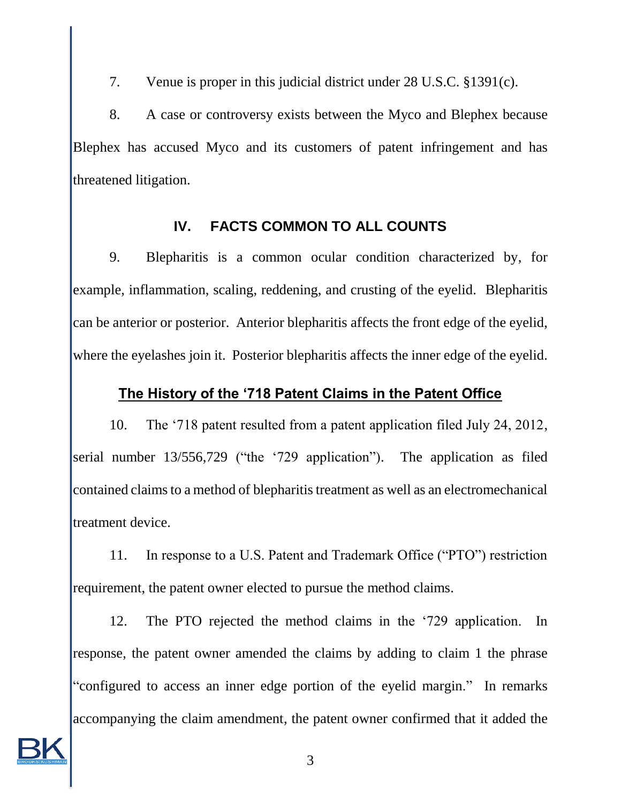7. Venue is proper in this judicial district under 28 U.S.C. §1391(c).

8. A case or controversy exists between the Myco and Blephex because Blephex has accused Myco and its customers of patent infringement and has threatened litigation.

# **IV. FACTS COMMON TO ALL COUNTS**

9. Blepharitis is a common ocular condition characterized by, for example, inflammation, scaling, reddening, and crusting of the eyelid. Blepharitis can be anterior or posterior. Anterior blepharitis affects the front edge of the eyelid, where the eyelashes join it. Posterior blepharitis affects the inner edge of the eyelid.

### **The History of the '718 Patent Claims in the Patent Office**

10. The '718 patent resulted from a patent application filed July 24, 2012, serial number 13/556,729 ("the '729 application"). The application as filed contained claims to a method of blepharitis treatment as well as an electromechanical treatment device.

11. In response to a U.S. Patent and Trademark Office ("PTO") restriction requirement, the patent owner elected to pursue the method claims.

12. The PTO rejected the method claims in the '729 application. In response, the patent owner amended the claims by adding to claim 1 the phrase "configured to access an inner edge portion of the eyelid margin." In remarks accompanying the claim amendment, the patent owner confirmed that it added the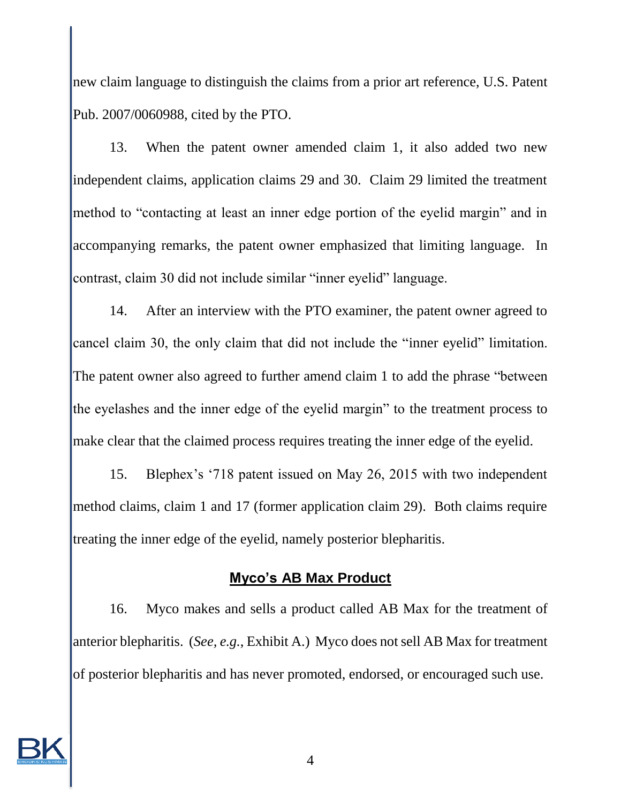new claim language to distinguish the claims from a prior art reference, U.S. Patent Pub. 2007/0060988, cited by the PTO.

13. When the patent owner amended claim 1, it also added two new independent claims, application claims 29 and 30. Claim 29 limited the treatment method to "contacting at least an inner edge portion of the eyelid margin" and in accompanying remarks, the patent owner emphasized that limiting language. In contrast, claim 30 did not include similar "inner eyelid" language.

14. After an interview with the PTO examiner, the patent owner agreed to cancel claim 30, the only claim that did not include the "inner eyelid" limitation. The patent owner also agreed to further amend claim 1 to add the phrase "between the eyelashes and the inner edge of the eyelid margin" to the treatment process to make clear that the claimed process requires treating the inner edge of the eyelid.

15. Blephex's '718 patent issued on May 26, 2015 with two independent method claims, claim 1 and 17 (former application claim 29). Both claims require treating the inner edge of the eyelid, namely posterior blepharitis.

#### **Myco's AB Max Product**

16. Myco makes and sells a product called AB Max for the treatment of anterior blepharitis. (*See, e.g.*, Exhibit A.) Myco does not sell AB Max for treatment of posterior blepharitis and has never promoted, endorsed, or encouraged such use.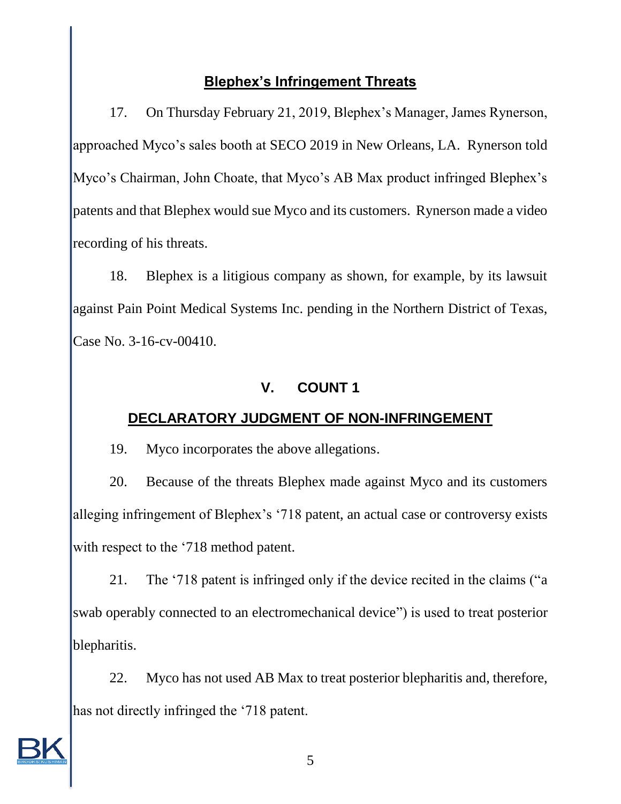#### **Blephex's Infringement Threats**

17. On Thursday February 21, 2019, Blephex's Manager, James Rynerson, approached Myco's sales booth at SECO 2019 in New Orleans, LA. Rynerson told Myco's Chairman, John Choate, that Myco's AB Max product infringed Blephex's patents and that Blephex would sue Myco and its customers. Rynerson made a video recording of his threats.

18. Blephex is a litigious company as shown, for example, by its lawsuit against Pain Point Medical Systems Inc. pending in the Northern District of Texas, Case No. 3-16-cv-00410.

#### **V. COUNT 1**

## **DECLARATORY JUDGMENT OF NON-INFRINGEMENT**

19. Myco incorporates the above allegations.

20. Because of the threats Blephex made against Myco and its customers alleging infringement of Blephex's '718 patent, an actual case or controversy exists with respect to the '718 method patent.

21. The '718 patent is infringed only if the device recited in the claims ("a swab operably connected to an electromechanical device") is used to treat posterior blepharitis.

22. Myco has not used AB Max to treat posterior blepharitis and, therefore, has not directly infringed the '718 patent.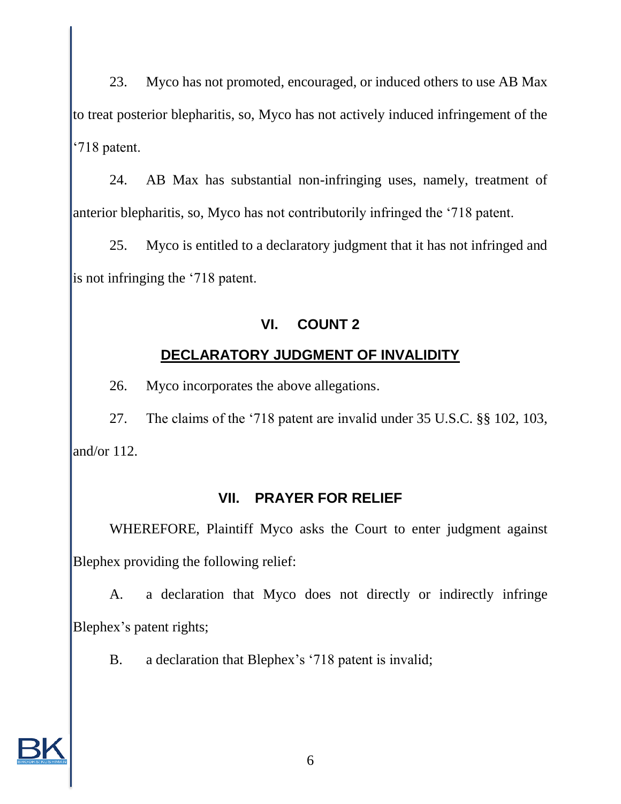23. Myco has not promoted, encouraged, or induced others to use AB Max to treat posterior blepharitis, so, Myco has not actively induced infringement of the '718 patent.

24. AB Max has substantial non-infringing uses, namely, treatment of anterior blepharitis, so, Myco has not contributorily infringed the '718 patent.

25. Myco is entitled to a declaratory judgment that it has not infringed and is not infringing the '718 patent.

### **VI. COUNT 2**

## **DECLARATORY JUDGMENT OF INVALIDITY**

26. Myco incorporates the above allegations.

27. The claims of the '718 patent are invalid under 35 U.S.C. §§ 102, 103, and/or 112.

# **VII. PRAYER FOR RELIEF**

WHEREFORE, Plaintiff Myco asks the Court to enter judgment against Blephex providing the following relief:

A. a declaration that Myco does not directly or indirectly infringe Blephex's patent rights;

B. a declaration that Blephex's '718 patent is invalid;